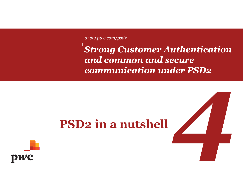*www.pwc.com/psd2*

# *Strong Customer Authentication and common and secure communication under PSD2*

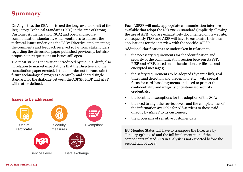# **Summary**

On August 12, the EBA has issued the long-awaited draft of the Regulatory Technical Standards (RTS) in the area of Strong Customer Authentication (SCA) and open and secure communication standards, which continues to address the technical issues underlying the PSD2 Directive, implementing the comments and feedback received so far from stakeholders regarding the discussion paper published previously, but also proposing new questions on issues still open.

The most striking innovation introduced by the RTS draft, also in relation to market expectations that the Directive and the consultation paper created, is that in order not to constrain the future technological progress a centrally and shared single standard for the dialogue between the ASPSP, PISP and AISP will **not** be defined.



Each ASPSP will make appropriate communication interfaces available that adopt the ISO 20022 standard (implicitly allowing the use of API!) and are exhaustively documented on its website, consequently PISP and AISP will have to customise their own applications for the interview with the specific ASPSP.

Additional clarifications are undertaken in relation to:

- the necessary requirements for the identification and security of the communication session between ASPSP, PISP and AISP, based on authentication certificates and encrypted messages;
- the safety requirements to be adopted (dynamic link, realtime fraud detection and prevention, etc.), with special focus for card-based payments and used to protect the confidentiality and integrity of customised security credentials;
- the identified exemptions for the adoption of the SCA;
- the need to align the service levels and the completeness of the information available for AIS services to those paid directly by ASPSP to its customers;
- the processing of sensitive customer data.

EU Member States will have to transpose the Directive by January 13th, 2018 and the full implementation of the components related RTS in analysis is not expected before the second half of 2018.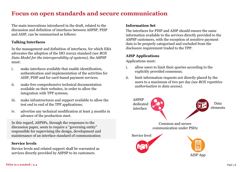# **Focus on open standards and secure communication**

The main innovations introduced in the draft, related to the discussion and definition of interfaces between ASPSP, PISP and AISP, can be summarised as follows:

# **Talking Interfaces**

In the management and definition of interfaces, for which EBA advocates the adoption of the ISO 20022 standard *(see BOX Data Model for the interoperability of systems),* the ASPSP must:

- i. make interfaces available that enable identification, authentication and implementation of the activities for AISP, PISP and for card-based payment services;
- ii. make free comprehensive technical documentation available on their websites, in order to allow the integration with TPP systems;
- iii. make infrastructures and support available to allow the test end to end of the TPP applications;
- iv. advertise any technical modification at least 3 months in advance of the production start.

In this regard, ASPSPs, through the responses to the discussion paper, seem to require a "governing entity" responsible for supervising the design, development and maintenance of an interface standard of communication

# **Service levels**

Service levels and related support shall be warranted as services directly provided by ASPSP to its customers.

# **Information Set**

The interfaces for PISP and AISP should ensure the same information available to the services directly provided to the ASPSP customers, with the exception of sensitive payment data to be properly categorised and excluded from the disclosure requirement traded to the TPP.

# **AISP Applications**

Applications must:

- i. allow users to limit their queries according to the explicitly provided consensus;
- ii. limit information requests not directly placed by the users to a maximum of two per day *(see BOX repetitive authorisation to data access)*.

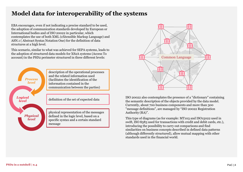# **Model data for interoperability of the systems**

EBA encourages, even if not indicating a precise standard to be used, the adoption of communication standards developed by European or International bodies and of ISO 20022 in particular, which contemplates the use of both XML (eXtensible Markup Language) and ASN.1 ( Abstract Syntax Notation One) for the definition of data structures at a high level.

This scenario, similar to what was achieved for SEPA systems, leads to the adoption of structured data models for XS2A systems (Access To account) in the PSD2 perimeter structured in three different levels:





ISO 20022 also contemplates the presence of a "dictionary" containing the semantic description of the objects provided by the data model. Currently, about 700 business components and more than 300 "message definitions", are managed by "ISO 20022 Registration Authority (RA)".

This type of diagrams (as for example: MT103 and ISO15022 used in swift, ISO 8583 used for transactions with credit and debit cards, etc.), introducing the possibility to carry out comparisons and find similarities on business concepts described in defined data patterns (although differently structured), allow mutual mapping with other standards used in the financial world.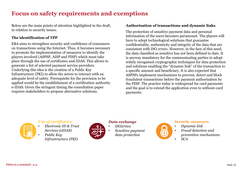# **Focus on safety requirements and exemptions**

Below are the main points of attention highlighted in the draft, in relation to security issues:

# **The identification of TPP**

EBA aims to strengthen security and confidence of consumers on transactions using the Internet. Thus, it becomes necessary to promote the implementation of measures to identify the players involved (ASPSP, AISP and PISP) which must take place through the use of certificates and-IDAS. This allows to generate a list of selected payment service providers. Underlying this idea is the creation of a Public Key Infrastructure (PKI) to allow the actors to interact with an adequate level of safety. Prerequisite for the provision to be applied would be the establishment of a certification authority e-IDAS. Given the stringent timing the consultation paper requires stakeholders to propose alternative solutions.

### **Authorisation of transactions and dynamic links**

The protection of sensitive payment data and personal information of the users becomes paramount. The players will have to adopt technological solutions that guarantee confidentiality, authenticity and integrity of the data that are consistent with ISO 27001. However, in the face of this need, the data classified as sensitive has not been defined to date. It is anyway mandatory for the communicating parties to adopt widely recognised cryptographic techniques for data protection and solutions enabling the "dynamic link" of the transaction to a specific amount and beneficiary. It is also expected that ASPSPs implement mechanisms to prevent, detect and block fraudulent transactions before the payment authorisation by the PISP. The practice today is widespread for card payments and the goal is to extend the application even to without-card payments.



# *Use of certificates*

- *Electronic ID & Trust Services (eIDAS)*
	- *Public Key Infrastructure (PKI)*



# *Data exchange*

- *ISO27001*
- *Sensitive payment data protection*



#### **Security measures**

- *Dynamic link*
- *Fraud detection and prevention mechanisms* • *SCA*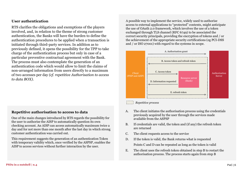### **User authentication**

RTS clarifies the obligations and exemptions of the players involved, and, in relation to the theme of strong customer authentication, the Banks will have the burden to define the authentication procedures to be applied when a transaction is initiated through third-party services. In addition as to previously defined, it opens the possibility for the TPP to take charge of the authentication process but only in case of a particular preventive contractual agreement with the Bank. The process must also contemplate the generation of an authentication code which would allow to limit the claims of non-arranged information from users directly to a maximum of two accesses per day *(cf. repetitive Authorisation to access to data BOX)*.

A possible way to implement the service, widely used to authorise access to external applications to "protected" contents, might anticipate the use of OAuth 2.0 framework, which involves the use of a token exchanged through TLS channel (RFC 6749) to be associated the correct security principals, providing the encryption of tokens and / or the achievement of the appropriate security certifications (eg PCI-DSS and / or ISO 27001) with regard to the systems in scope.



#### *Repetitive process*

- A. The client initiates the authorisation process using the credentials previously acquired by the user through the services made available from the ASPSP
- B. If credentials are valid, the token and (if any) the refresh token are returned
- C. The client requests access to the service
- D. If the token is valid, the Bank returns what is requested Points C and D can be repeated as long as the token is valid
- E. The client uses the refresh token obtained in step B to restart the authorisation process. The process starts again from step B

#### **Repetitive authorisation to access to data**

One of the main changes introduced by RTS regards the possibility for the user to authorise the AISP to automatically question its own checking account. An AISP can access automatically maximum twice a day and for not more than one month after the last day in which strong customer authentication was carried out.

This requirement suggests the generation of an authentication Token with temporary validity which, once verified by the ASPSP, enables the AISP to access services without further interaction by the user.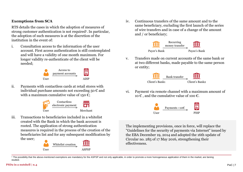### **Exemptions from SCA**

RTS details the cases in which the adoption of measures of strong customer authentication is not required<sup>1</sup>. In particular, the adoption of such measures is at the discretion of the institution in the event of:

i. Consultation access to the information of the user account. First access authentication is still contemplated and will have a validity of one month maximum. For longer validity re-authenticate of the client will be needed;



ii. Payments with contactless cards at retail stores with individual purchase amounts not exceeding 50  $\epsilon$  and with a maximum cumulative value of 150  $\epsilon$ ;



iii. Transactions to beneficiaries included in a whitelist created with the Bank in which the bank account is rooted. The application of strong authentication measures is required in the process of the creation of the beneficiaries list and for any subsequent modification by the user;



iv. Continuous transfers of the same amount and to the same beneficiary, excluding the first launch of the series of wire transfers and in case of a change of the amount and / or beneficiary;



v. Transfers made on current accounts of the same bank or at two different banks, made payable to the same person or entity;



vi. Payment via remote channel with a maximum amount of 10  $\epsilon$ , and the cumulative value of 100  $\epsilon$ .



The implementing provisions, once in force, will replace the "Guidelines for the security of payments via Internet" issued by the EBA December 19, 2014 and adopted the 16th update of Circular no. 285 of 17 May 2016, strengthening their effectiveness.

<sup>1</sup> The possibility that the above-mentioned exemptions are mandatory for the ASPSP and not only applicable, in order to promote a more homogeneous application of them in the market, are bening studied.